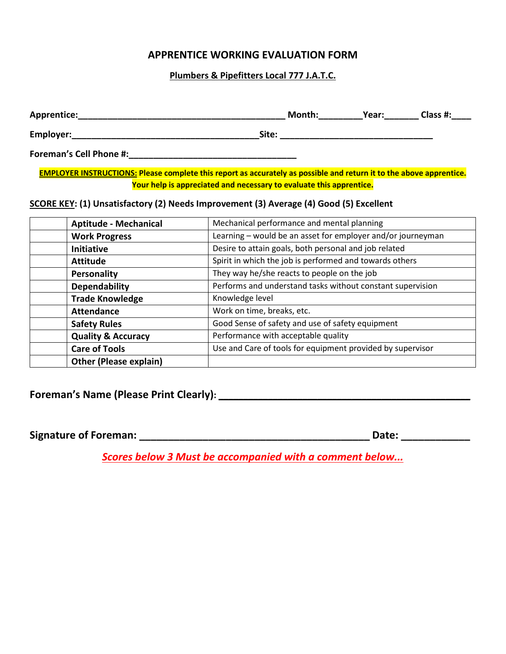# **APPRENTICE WORKING EVALUATION FORM**

## **Plumbers & Pipefitters Local 777 J.A.T.C.**

| Apprentice:                    | Month: | Year: | Class #: |
|--------------------------------|--------|-------|----------|
| Employer:                      | Site:  |       |          |
| <b>Foreman's Cell Phone #:</b> |        |       |          |

**EMPLOYER INSTRUCTIONS: Please complete this report as accurately as possible and return it to the above apprentice. Your help is appreciated and necessary to evaluate this apprentice.**

### **SCORE KEY: (1) Unsatisfactory (2) Needs Improvement (3) Average (4) Good (5) Excellent**

| <b>Aptitude - Mechanical</b>  | Mechanical performance and mental planning                  |
|-------------------------------|-------------------------------------------------------------|
| <b>Work Progress</b>          | Learning - would be an asset for employer and/or journeyman |
| Initiative                    | Desire to attain goals, both personal and job related       |
| <b>Attitude</b>               | Spirit in which the job is performed and towards others     |
| Personality                   | They way he/she reacts to people on the job                 |
| <b>Dependability</b>          | Performs and understand tasks without constant supervision  |
| <b>Trade Knowledge</b>        | Knowledge level                                             |
| <b>Attendance</b>             | Work on time, breaks, etc.                                  |
| <b>Safety Rules</b>           | Good Sense of safety and use of safety equipment            |
| <b>Quality &amp; Accuracy</b> | Performance with acceptable quality                         |
| <b>Care of Tools</b>          | Use and Care of tools for equipment provided by supervisor  |
| <b>Other (Please explain)</b> |                                                             |

**Foreman's Name (Please Print Clearly): \_\_\_\_\_\_\_\_\_\_\_\_\_\_\_\_\_\_\_\_\_\_\_\_\_\_\_\_\_\_\_\_\_\_\_\_\_\_\_\_\_\_\_\_\_\_\_\_\_\_\_**

**Signature of Foreman: \_\_\_\_\_\_\_\_\_\_\_\_\_\_\_\_\_\_\_\_\_\_\_\_\_\_\_\_\_\_\_\_\_\_\_\_\_\_\_\_ Date: \_\_\_\_\_\_\_\_\_\_\_\_**

*Scores below 3 Must be accompanied with a comment below...*